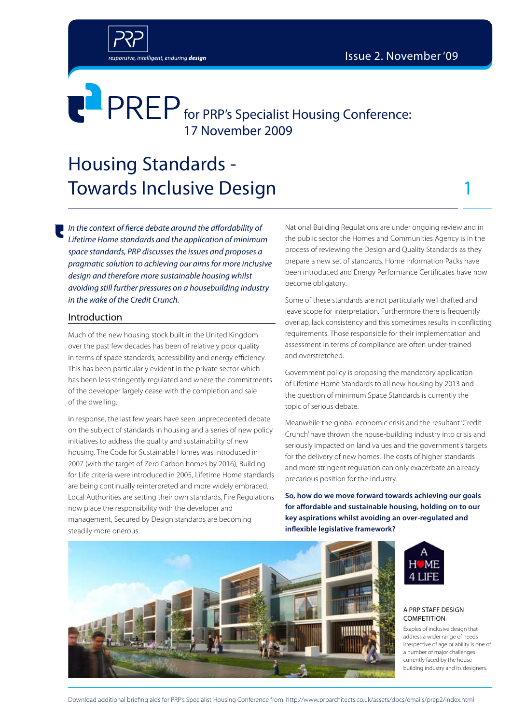

## Housing Standards - Towards Inclusive Design 1

sponsive, intelligent, enduring design

*In the context of fierce debate around the affordability of Lifetime Home standards and the application of minimum space standards, PRP discusses the issues and proposes a pragmatic solution to achieving our aims for more inclusive design and therefore more sustainable housing whilst avoiding still further pressures on a housebuilding industry in the wake of the Credit Crunch.*

### Introduction

Much of the new housing stock built in the United Kingdom over the past few decades has been of relatively poor quality in terms of space standards, accessibility and energy efficiency. This has been particularly evident in the private sector which has been less stringently regulated and where the commitments of the developer largely cease with the completion and sale of the dwelling.

In response, the last few years have seen unprecedented debate on the subject of standards in housing and a series of new policy initiatives to address the quality and sustainability of new housing. The Code for Sustainable Homes was introduced in 2007 (with the target of Zero Carbon homes by 2016), Building for Life criteria were introduced in 2005, Lifetime Home standards are being continually reinterpreted and more widely embraced. Local Authorities are setting their own standards, Fire Regulations now place the responsibility with the developer and management, Secured by Design standards are becoming steadily more onerous.

National Building Regulations are under ongoing review and in the public sector the Homes and Communities Agency is in the process of reviewing the Design and Quality Standards as they prepare a new set of standards. Home Information Packs have been introduced and Energy Performance Certificates have now become obligatory.

Some of these standards are not particularly well drafted and leave scope for interpretation. Furthermore there is frequently overlap, lack consistency and this sometimes results in conflicting requirements. Those responsible for their implementation and assessment in terms of compliance are often under-trained and overstretched.

Government policy is proposing the mandatory application of Lifetime Home Standards to all new housing by 2013 and the question of minimum Space Standards is currently the topic of serious debate.

Meanwhile the global economic crisis and the resultant 'Credit Crunch' have thrown the house-building industry into crisis and seriously impacted on land values and the government's targets for the delivery of new homes. The costs of higher standards and more stringent regulation can only exacerbate an already precarious position for the industry.

**So, how do we move forward towards achieving our goals for affordable and sustainable housing, holding on to our key aspirations whilst avoiding an over-regulated and inflexible legislative framework?**





#### A prp staff design **COMPETITION**

Exaples of inclusive design that address a wider range of needs irrespective of age or ability is one of a number of major challenges currently faced by the house building industry and its designers.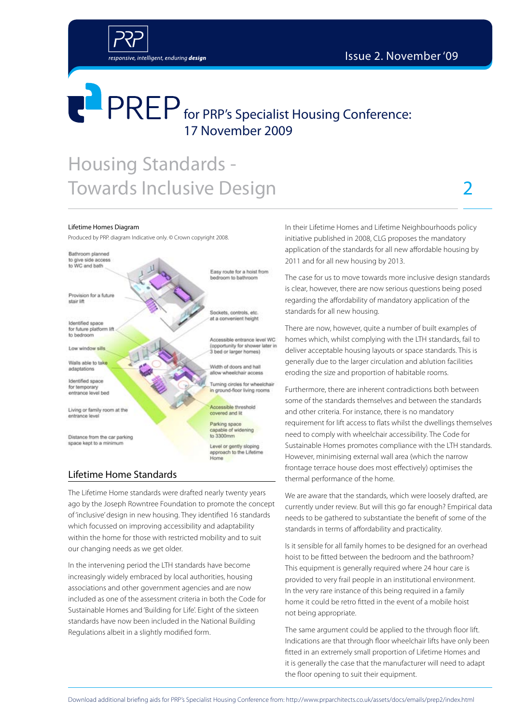

### Housing Standards - Towards Inclusive Design

responsive, intelligent, enduring design

#### Lifetime Homes Diagram

Produced by PRP. diagram Indicative only. © Crown copyright 2008.



#### Lifetime Home Standards

The Lifetime Home standards were drafted nearly twenty years ago by the Joseph Rowntree Foundation to promote the concept of 'inclusive' design in new housing. They identified 16 standards which focussed on improving accessibility and adaptability within the home for those with restricted mobility and to suit our changing needs as we get older.

In the intervening period the LTH standards have become increasingly widely embraced by local authorities, housing associations and other government agencies and are now included as one of the assessment criteria in both the Code for Sustainable Homes and 'Building for Life'. Eight of the sixteen standards have now been included in the National Building Regulations albeit in a slightly modified form.

In their Lifetime Homes and Lifetime Neighbourhoods policy initiative published in 2008, CLG proposes the mandatory application of the standards for all new affordable housing by 2011 and for all new housing by 2013.

The case for us to move towards more inclusive design standards is clear, however, there are now serious questions being posed regarding the affordability of mandatory application of the standards for all new housing.

There are now, however, quite a number of built examples of homes which, whilst complying with the LTH standards, fail to deliver acceptable housing layouts or space standards. This is generally due to the larger circulation and ablution facilities eroding the size and proportion of habitable rooms.

Furthermore, there are inherent contradictions both between some of the standards themselves and between the standards and other criteria. For instance, there is no mandatory requirement for lift access to flats whilst the dwellings themselves need to comply with wheelchair accessibility. The Code for Sustainable Homes promotes compliance with the LTH standards. However, minimising external wall area (which the narrow frontage terrace house does most effectively) optimises the thermal performance of the home.

We are aware that the standards, which were loosely drafted, are currently under review. But will this go far enough? Empirical data needs to be gathered to substantiate the benefit of some of the standards in terms of affordability and practicality.

Is it sensible for all family homes to be designed for an overhead hoist to be fitted between the bedroom and the bathroom? This equipment is generally required where 24 hour care is provided to very frail people in an institutional environment. In the very rare instance of this being required in a family home it could be retro fitted in the event of a mobile hoist not being appropriate.

The same argument could be applied to the through floor lift. Indications are that through floor wheelchair lifts have only been fitted in an extremely small proportion of Lifetime Homes and it is generally the case that the manufacturer will need to adapt the floor opening to suit their equipment.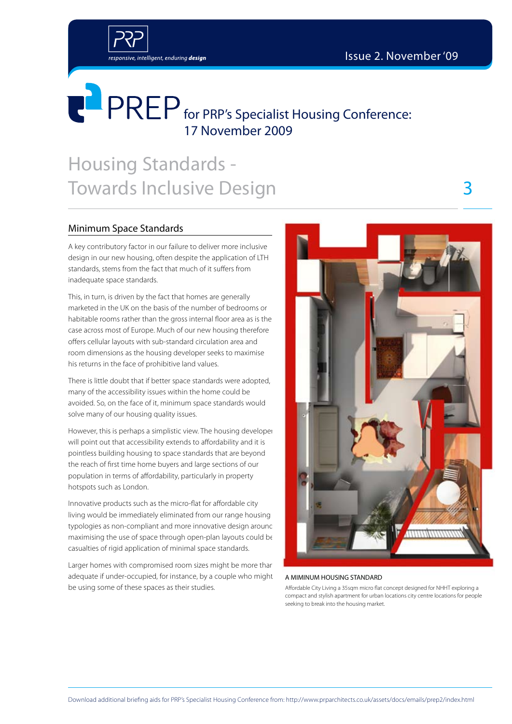3



# **FLANKER** for PRP's Specialist Housing Conference: 17 November 2009

## Housing Standards - Towards Inclusive Design

### Minimum Space Standards

A key contributory factor in our failure to deliver more inclusive design in our new housing, often despite the application of LTH standards, stems from the fact that much of it suffers from inadequate space standards.

This, in turn, is driven by the fact that homes are generally marketed in the UK on the basis of the number of bedrooms or habitable rooms rather than the gross internal floor area as is the case across most of Europe. Much of our new housing therefore offers cellular layouts with sub-standard circulation area and room dimensions as the housing developer seeks to maximise his returns in the face of prohibitive land values.

There is little doubt that if better space standards were adopted, many of the accessibility issues within the home could be avoided. So, on the face of it, minimum space standards would solve many of our housing quality issues.

However, this is perhaps a simplistic view. The housing developer will point out that accessibility extends to affordability and it is pointless building housing to space standards that are beyond the reach of first time home buyers and large sections of our population in terms of affordability, particularly in property hotspots such as London.

Innovative products such as the micro-flat for affordable city living would be immediately eliminated from our range housing typologies as non-compliant and more innovative design around maximising the use of space through open-plan layouts could be casualties of rigid application of minimal space standards.

Larger homes with compromised room sizes might be more than adequate if under-occupied, for instance, by a couple who might be using some of these spaces as their studies.



#### A MIMINUM HOUSING STANDARD

Affordable City Living a 35sqm micro flat concept designed for NHHT exploring a compact and stylish apartment for urban locations city centre locations for people seeking to break into the housing market.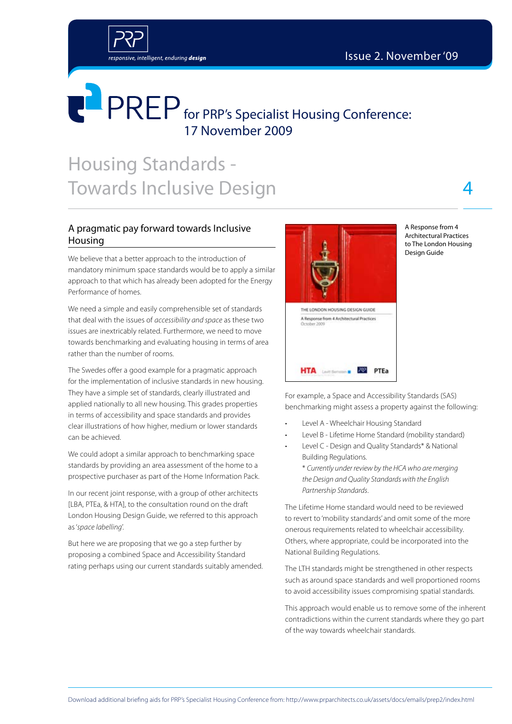

# **FOREP** for PRP's Specialist Housing Conference: 17 November 2009

## Housing Standards - Towards Inclusive Design

### A pragmatic pay forward towards Inclusive Housing

We believe that a better approach to the introduction of mandatory minimum space standards would be to apply a similar approach to that which has already been adopted for the Energy Performance of homes.

We need a simple and easily comprehensible set of standards that deal with the issues of *accessibility and space* as these two issues are inextricably related. Furthermore, we need to move towards benchmarking and evaluating housing in terms of area rather than the number of rooms.

The Swedes offer a good example for a pragmatic approach for the implementation of inclusive standards in new housing. They have a simple set of standards, clearly illustrated and applied nationally to all new housing. This grades properties in terms of accessibility and space standards and provides clear illustrations of how higher, medium or lower standards can be achieved.

We could adopt a similar approach to benchmarking space standards by providing an area assessment of the home to a prospective purchaser as part of the Home Information Pack.

In our recent joint response, with a group of other architects [LBA, PTEa, & HTA], to the consultation round on the draft London Housing Design Guide, we referred to this approach as '*space labelling*'.

But here we are proposing that we go a step further by proposing a combined Space and Accessibility Standard rating perhaps using our current standards suitably amended.



A Response from 4 Architectural Practices to The London Housing Design Guide

4

For example, a Space and Accessibility Standards (SAS) benchmarking might assess a property against the following:

- Level A Wheelchair Housing Standard
- Level B Lifetime Home Standard (mobility standard)
- Level C Design and Quality Standards\* & National Building Regulations. \* *Currently under review by the HCA who are merging the Design and Quality Standards with the English Partnership Standards*.

The Lifetime Home standard would need to be reviewed to revert to 'mobility standards' and omit some of the more onerous requirements related to wheelchair accessibility. Others, where appropriate, could be incorporated into the National Building Regulations.

The LTH standards might be strengthened in other respects such as around space standards and well proportioned rooms to avoid accessibility issues compromising spatial standards.

This approach would enable us to remove some of the inherent contradictions within the current standards where they go part of the way towards wheelchair standards.